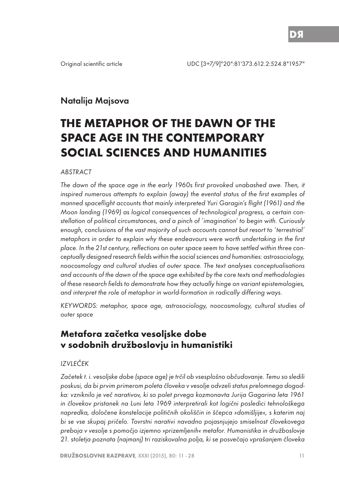# Natalija Majsova

# **THE METAPHOR OF THE DAWN OF THE SPACE AGE IN THE CONTEMPORARY SOCIAL SCIENCES AND HUMANITIES**

#### **ABSTRACT**

The dawn of the space age in the early 1960s first provoked unabashed awe. Then, it inspired numerous attempts to explain (away) the evental status of the first examples of manned spaceflight accounts that mainly interpreted Yuri Garagin's flight (1961) and the Moon landing (1969) as logical consequences of technological progress, a certain constellation of political circumstances, and a pinch of 'imagination' to begin with. Curiously enough, conclusions of the vast majority of such accounts cannot but resort to 'terrestrial' metaphors in order to explain why these endeavours were worth undertaking in the first place. In the 21st century, reflections on outer space seem to have settled within three conceptually designed research fields within the social sciences and humanities: astrosociology, noocosmology and cultural studies of outer space. The text analyses conceptualisations and accounts of the dawn of the space age exhibited by the core texts and methodologies of these research fields to demonstrate how they actually hinge on variant epistemologies, and interpret the role of metaphor in world-formation in radically differing ways.

KEYWORDS: metaphor, space age, astrosociology, noocosmology, cultural studies of outer space

# **Metafora začetka vesoljske dobe v sodobnih družboslovju in humanistiki**

### IZVLEČEK

Začetek t. i. vesoljske dobe (space age) je trčil ob vsesplošno občudovanje. Temu so sledili poskusi, da bi prvim primerom poleta človeka v vesolje odvzeli status prelomnega dogodka: vzniknilo je več narativov, ki so polet prvega kozmonavta Jurija Gagarina leta 1961 in človekov pristanek na Luni leta 1969 interpretirali kot logični posledici tehnološkega napredka, določene konstelacije političnih okoliščin in ščepca »domišljije«, s katerim naj bi se vse skupaj pričelo. Tovrstni narativi navadno pojasnjujejo smiselnost človekovega preboja v vesolje s pomočjo izjemno »prizemljenih« metafor. Humanistika in družboslovje 21. stoletja poznata (najmanj) tri raziskovalna polja, ki se posvečajo vprašanjem človeka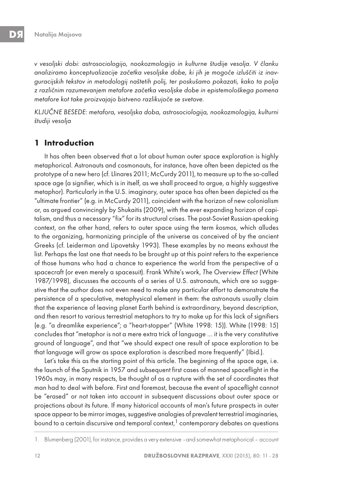v vesoljski dobi: astrosociologijo, nookozmologijo in kulturne študije vesolja. V članku analiziramo konceptualizacije začetka vesoljske dobe, ki jih je mogoče izluščiti iz inavguracijskih tekstov in metodologij naštetih polij, ter poskušamo pokazati, kako ta polja z različnim razumevanjem metafore začetka vesoljske dobe in epistemološkega pomena metafore kot take proizvajajo bistveno razlikujoče se svetove.

KLJUČNE BESEDE: metafora, vesoljska doba, astrosociologija, nookozmologija, kulturni študiji vesolja

# **1 Introduction**

It has often been observed that a lot about human outer space exploration is highly metaphorical. Astronauts and cosmonauts, for instance, have often been depicted as the prototype of a new hero (cf. Llinares 2011; McCurdy 2011), to measure up to the so-called space age (a signifier, which is in itself, as we shall proceed to argue, a highly suggestive metaphor). Particularly in the U.S. imaginary, outer space has often been depicted as the "ultimate frontier" (e.g. in McCurdy 2011), coincident with the horizon of new colonialism or, as argued convincingly by Shukaitis (2009), with the ever expanding horizon of capitalism, and thus a necessary "fix" for its structural crises. The post-Soviet Russian-speaking context, on the other hand, refers to outer space using the term kosmos, which alludes to the organizing, harmonizing principle of the universe as conceived of by the ancient Greeks (cf. Leiderman and Lipovetsky 1993). These examples by no means exhaust the list. Perhaps the last one that needs to be brought up at this point refers to the experience of those humans who had a chance to experience the world from the perspective of a spacecraft (or even merely a spacesuit). Frank White's work, The Overview Effect (White 1987/1998), discusses the accounts of a series of U.S. astronauts, which are so suggestive that the author does not even need to make any particular effort to demonstrate the persistence of a speculative, metaphysical element in them: the astronauts usually claim that the experience of leaving planet Earth behind is extraordinary, beyond description, and then resort to various terrestrial metaphors to try to make up for this lack of signifiers (e.g. "a dreamlike experience"; a "heart-stopper" (White 1998: 15)). White (1998: 15) concludes that "metaphor is not a mere extra trick of language … it is the very constitutive ground of language", and that "we should expect one result of space exploration to be that language will grow as space exploration is described more frequently" (Ibid.).

Let's take this as the starting point of this article. The beginning of the space age, i.e. the launch of the Sputnik in 1957 and subsequent first cases of manned spaceflight in the 1960s may, in many respects, be thought of as a rupture with the set of coordinates that man had to deal with before. First and foremost, because the event of spaceflight cannot be "erased" or not taken into account in subsequent discussions about outer space or projections about its future. If many historical accounts of man's future prospects in outer space appear to be mirror images, suggestive analogies of prevalent terrestrial imaginaries, bound to a certain discursive and temporal context, $1$  contemporary debates on questions

<sup>1.</sup> Blumenberg (2001), for instance, provides a very extensive -and somewhat metaphorical - account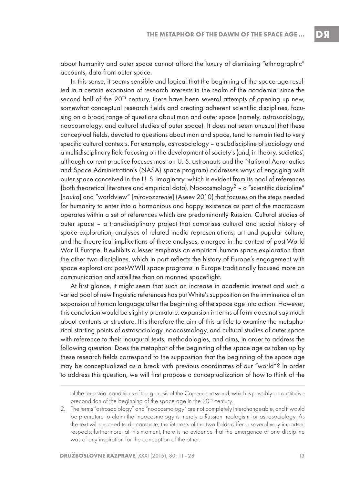DЯ

about humanity and outer space cannot afford the luxury of dismissing "ethnographic" accounts, data from outer space.

In this sense, it seems sensible and logical that the beginning of the space age resulted in a certain expansion of research interests in the realm of the academia: since the second half of the 20<sup>th</sup> century, there have been several attempts of opening up new, somewhat conceptual research fields and creating adherent scientific disciplines, focusing on a broad range of questions about man and outer space (namely, astrosociology, noocosmology, and cultural studies of outer space). It does not seem unusual that these conceptual fields, devoted to questions about man and space, tend to remain tied to very specific cultural contexts. For example, astrosociology – a subdiscipline of sociology and a multidisciplinary field focusing on the development of society's (and, in theory, societies', although current practice focuses most on U. S. astronauts and the National Aeronautics and Space Administration's (NASA) space program) addresses ways of engaging with outer space conceived in the U. S. imaginary, which is evident from its pool of references (both theoretical literature and empirical data). Noocosmology<sup>2</sup> – a "scientific discipline" [nauka] and "worldview" [mirovozzrenie] (Aseev 2010) that focuses on the steps needed for humanity to enter into a harmonious and happy existence as part of the macrocosm operates within a set of references which are predominantly Russian. Cultural studies of outer space – a transdisciplinary project that comprises cultural and social history of space exploration, analyses of related media representations, art and popular culture, and the theoretical implications of these analyses, emerged in the context of post-World War II Europe. It exhibits a lesser emphasis on empirical human space exploration than the other two disciplines, which in part reflects the history of Europe's engagement with space exploration: post-WWII space programs in Europe traditionally focused more on communication and satellites than on manned spaceflight.

At first glance, it might seem that such an increase in academic interest and such a varied pool of new linguistic references has put White's supposition on the imminence of an expansion of human language after the beginning of the space age into action. However, this conclusion would be slightly premature: expansion in terms of form does not say much about contents or structure. It is therefore the aim of this article to examine the metaphorical starting points of astrosociology, noocosmology, and cultural studies of outer space with reference to their inaugural texts, methodologies, and aims, in order to address the following question: Does the metaphor of the beginning of the space age as taken up by these research fields correspond to the supposition that the beginning of the space age may be conceptualized as a break with previous coordinates of our "world"? In order to address this question, we will first propose a conceptualization of how to think of the

of the terrestrial conditions of the genesis of the Copernican world, which is possibly a constitutive precondition of the beginning of the space age in the 20<sup>th</sup> century.

<sup>2.</sup> The terms "astrosociology" and "noocosmology" are not completely interchangeable, and it would be premature to claim that noocosmology is merely a Russian neologism for astrosociology. As the text will proceed to demonstrate, the interests of the two fields differ in several very important respects; furthermore, at this moment, there is no evidence that the emergence of one discipline was of any inspiration for the conception of the other.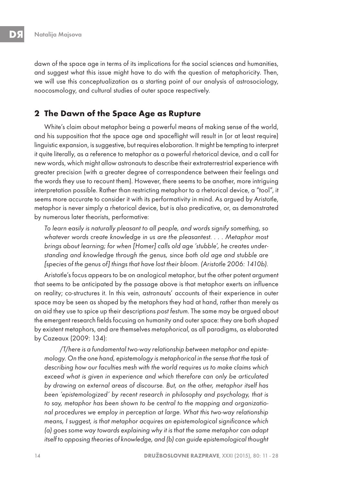dawn of the space age in terms of its implications for the social sciences and humanities, and suggest what this issue might have to do with the question of metaphoricity. Then, we will use this conceptualization as a starting point of our analysis of astrosociology, noocosmology, and cultural studies of outer space respectively.

### **2 The Dawn of the Space Age as Rupture**

White's claim about metaphor being a powerful means of making sense of the world, and his supposition that the space age and spaceflight will result in (or at least require) linguistic expansion, is suggestive, but requires elaboration. It might be tempting to interpret it quite literally, as a reference to metaphor as a powerful rhetorical device, and a call for new words, which might allow astronauts to describe their extraterrestrial experience with greater precision (with a greater degree of correspondence between their feelings and the words they use to recount them). However, there seems to be another, more intriguing interpretation possible. Rather than restricting metaphor to a rhetorical device, a "tool", it seems more accurate to consider it with its performativity in mind. As argued by Aristotle, metaphor is never simply a rhetorical device, but is also predicative, or, as demonstrated by numerous later theorists, performative:

To learn easily is naturally pleasant to all people, and words signify something, so whatever words create knowledge in us are the pleasantest. . . . Metaphor most brings about learning; for when [Homer] calls old age 'stubble', he creates understanding and knowledge through the genus, since both old age and stubble are [species of the genus of] things that have lost their bloom. (Aristotle 2006: 1410b).

Aristotle's focus appears to be on analogical metaphor, but the other potent argument that seems to be anticipated by the passage above is that metaphor exerts an influence on reality; co-structures it. In this vein, astronauts' accounts of their experience in outer space may be seen as shaped by the metaphors they had at hand, rather than merely as an aid they use to spice up their descriptions post festum. The same may be argued about the emergent research fields focusing on humanity and outer space: they are both shaped by existent metaphors, and are themselves metaphorical, as all paradigms, as elaborated by Cazeaux (2009: 134):

/T/here is a fundamental two-way relationship between metaphor and epistemology. On the one hand, epistemology is metaphorical in the sense that the task of describing how our faculties mesh with the world requires us to make claims which exceed what is given in experience and which therefore can only be articulated by drawing on external areas of discourse. But, on the other, metaphor itself has been 'epistemologized' by recent research in philosophy and psychology, that is to say, metaphor has been shown to be central to the mapping and organizational procedures we employ in perception at large. What this two-way relationship means, I suggest, is that metaphor acquires an epistemological significance which (a) goes some way towards explaining why it is that the same metaphor can adapt itself to opposing theories of knowledge, and (b) can guide epistemological thought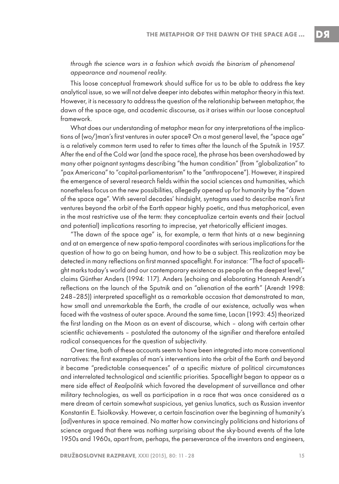through the science wars in a fashion which avoids the binarism of phenomenal appearance and noumenal reality.

This loose conceptual framework should suffice for us to be able to address the key analytical issue, so we will not delve deeper into debates within metaphor theory in this text. However, it is necessary to address the question of the relationship between metaphor, the dawn of the space age, and academic discourse, as it arises within our loose conceptual framework.

What does our understanding of metaphor mean for any interpretations of the implications of (wo/)man's first ventures in outer space? On a most general level, the "space age" is a relatively common term used to refer to times after the launch of the Sputnik in 1957. After the end of the Cold war (and the space race), the phrase has been overshadowed by many other poignant syntagms describing "the human condition" (from "globalization" to "pax Americana" to "capital-parliamentarism" to the "anthropocene"). However, it inspired the emergence of several research fields within the social sciences and humanities, which nonetheless focus on the new possibilities, allegedly opened up for humanity by the "dawn of the space age". With several decades' hindsight, syntagms used to describe man's first ventures beyond the orbit of the Earth appear highly poetic, and thus metaphorical, even in the most restrictive use of the term: they conceptualize certain events and their (actual and potential) implications resorting to imprecise, yet rhetorically efficient images.

"The dawn of the space age" is, for example, a term that hints at a new beginning and at an emergence of new spatio-temporal coordinates with serious implications for the question of how to go on being human, and how to be a subject. This realization may be detected in many reflections on first manned spaceflight. For instance: "The fact of spaceflight marks today's world and our contemporary existence as people on the deepest level," claims Günther Anders (1994: 117). Anders (echoing and elaborating Hannah Arendt's reflections on the launch of the Sputnik and on "alienation of the earth" (Arendt 1998: 248–285)) interpreted spaceflight as a remarkable occasion that demonstrated to man, how small and unremarkable the Earth, the cradle of our existence, actually was when faced with the vastness of outer space. Around the same time, Lacan (1993: 45) theorized the first landing on the Moon as an event of discourse, which – along with certain other scientific achievements – postulated the autonomy of the signifier and therefore entailed radical consequences for the question of subjectivity.

Over time, both of these accounts seem to have been integrated into more conventional narratives: the first examples of man's interventions into the orbit of the Earth and beyond it became "predictable consequences" of a specific mixture of political circumstances and interrelated technological and scientific priorities. Spaceflight began to appear as a mere side effect of Realpolitik which favored the development of surveillance and other military technologies, as well as participation in a race that was once considered as a mere dream of certain somewhat suspicious, yet genius lunatics, such as Russian inventor Konstantin E. Tsiolkovsky. However, a certain fascination over the beginning of humanity's (ad)ventures in space remained. No matter how convincingly politicians and historians of science argued that there was nothing surprising about the sky-bound events of the late 1950s and 1960s, apart from, perhaps, the perseverance of the inventors and engineers,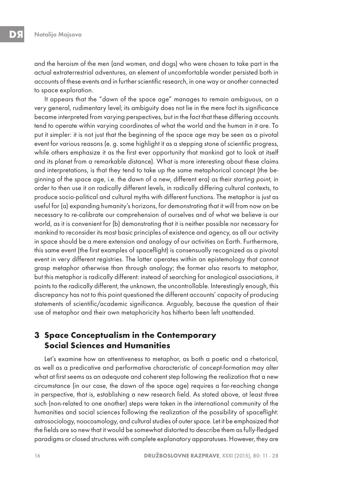and the heroism of the men (and women, and dogs) who were chosen to take part in the actual extraterrestrial adventures, an element of uncomfortable wonder persisted both in accounts of these events and in further scientific research, in one way or another connected to space exploration.

It appears that the "dawn of the space age" manages to remain ambiguous, on a very general, rudimentary level; its ambiguity does not lie in the mere fact its significance became interpreted from varying perspectives, but in the fact that these differing accounts tend to operate within varying coordinates of what the world and the human in it are. To put it simpler: it is not just that the beginning of the space age may be seen as a pivotal event for various reasons (e. g. some highlight it as a stepping stone of scientific progress, while others emphasize it as the first ever opportunity that mankind got to look at itself and its planet from a remarkable distance). What is more interesting about these claims and interpretations, is that they tend to take up the same metaphorical concept (the beginning of the space age, i.e. the dawn of a new, different era) as their starting point, in order to then use it on radically different levels, in radically differing cultural contexts, to produce socio-political and cultural myths with different functions. The metaphor is just as useful for (a) expanding humanity's horizons, for demonstrating that it will from now on be necessary to re-calibrate our comprehension of ourselves and of what we believe is our world, as it is convenient for (b) demonstrating that it is neither possible nor necessary for mankind to reconsider its most basic principles of existence and agency, as all our activity in space should be a mere extension and analogy of our activities on Earth. Furthermore, this same event (the first examples of spaceflight) is consensually recognized as a pivotal event in very different registries. The latter operates within an epistemology that cannot grasp metaphor otherwise than through analogy; the former also resorts to metaphor, but this metaphor is radically different: instead of searching for analogical associations, it points to the radically different, the unknown, the uncontrollable. Interestingly enough, this discrepancy has not to this point questioned the different accounts' capacity of producing statements of scientific/academic significance. Arguably, because the question of their use of metaphor and their own metaphoricity has hitherto been left unattended.

# **3 Space Conceptualism in the Contemporary Social Sciences and Humanities**

Let's examine how an attentiveness to metaphor, as both a poetic and a rhetorical, as well as a predicative and performative characteristic of concept-formation may alter what at first seems as an adequate and coherent step following the realization that a new circumstance (in our case, the dawn of the space age) requires a far-reaching change in perspective, that is, establishing a new research field. As stated above, at least three such (non-related to one another) steps were taken in the international community of the humanities and social sciences following the realization of the possibility of spaceflight: astrosociology, noocosmology, and cultural studies of outer space. Let it be emphasized that the fields are so new that it would be somewhat distorted to describe them as fully-fledged paradigms or closed structures with complete explanatory apparatuses. However, they are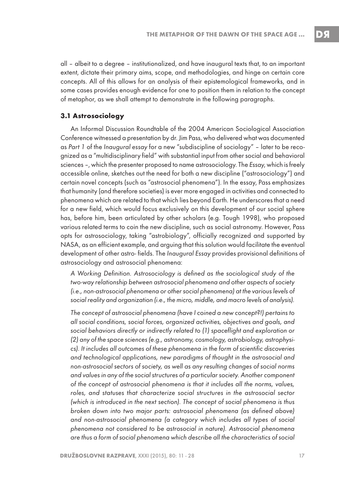all – albeit to a degree – institutionalized, and have inaugural texts that, to an important extent, dictate their primary aims, scope, and methodologies, and hinge on certain core concepts. All of this allows for an analysis of their epistemological frameworks, and in some cases provides enough evidence for one to position them in relation to the concept of metaphor, as we shall attempt to demonstrate in the following paragraphs.

#### **3.1 Astrosociology**

An Informal Discussion Roundtable of the 2004 American Sociological Association Conference witnessed a presentation by dr. Jim Pass, who delivered what was documented as Part 1 of the Inaugural essay for a new "subdiscipline of sociology" – later to be recognized as a "multidisciplinary field" with substantial input from other social and behavioral sciences –, which the presenter proposed to name astrosociology. The Essay, which is freely accessible online, sketches out the need for both a new discipline ("astrosociology") and certain novel concepts (such as "astrosocial phenomena"). In the essay, Pass emphasizes that humanity (and therefore societies) is ever more engaged in activities and connected to phenomena which are related to that which lies beyond Earth. He underscores that a need for a new field, which would focus exclusively on this development of our social sphere has, before him, been articulated by other scholars (e.g. Tough 1998), who proposed various related terms to coin the new discipline, such as social astronomy. However, Pass opts for astrosociology, taking "astrobiology", officially recognized and supported by NASA, as an efficient example, and arguing that this solution would facilitate the eventual development of other astro- fields. The Inaugural Essay provides provisional definitions of astrosociology and astrosocial phenomena:

A Working Definition. Astrosociology is defined as the sociological study of the two-way relationship between astrosocial phenomena and other aspects of society (i.e., non-astrosocial phenomena or other social phenomena) at the various levels of social reality and organization (i.e., the micro, middle, and macro levels of analysis).

The concept of astrosocial phenomena (have I coined a new concept?!) pertains to all social conditions, social forces, organized activities, objectives and goals, and social behaviors directly or indirectly related to (1) spaceflight and exploration or (2) any of the space sciences (e.g., astronomy, cosmology, astrobiology, astrophysics). It includes all outcomes of these phenomena in the form of scientific discoveries and technological applications, new paradigms of thought in the astrosocial and non-astrosocial sectors of society, as well as any resulting changes of social norms and values in any of the social structures of a particular society. Another component of the concept of astrosocial phenomena is that it includes all the norms, values, roles, and statuses that characterize social structures in the astrosocial sector (which is introduced in the next section). The concept of social phenomena is thus broken down into two major parts: astrosocial phenomena (as defined above) and non-astrosocial phenomena (a category which includes all types of social phenomena not considered to be astrosocial in nature). Astrosocial phenomena are thus a form of social phenomena which describe all the characteristics of social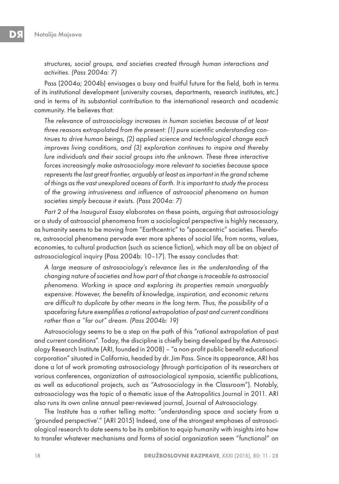structures, social groups, and societies created through human interactions and activities. (Pass 2004a: 7)

Pass (2004a; 2004b) envisages a busy and fruitful future for the field, both in terms of its institutional development (university courses, departments, research institutes, etc.) and in terms of its substantial contribution to the international research and academic community. He believes that:

The relevance of astrosociology increases in human societies because of at least three reasons extrapolated from the present: (1) pure scientific understanding continues to drive human beings, (2) applied science and technological change each improves living conditions, and (3) exploration continues to inspire and thereby lure individuals and their social groups into the unknown. These three interactive forces increasingly make astrosociology more relevant to societies because space represents the last great frontier, arguably at least as important in the grand scheme of things as the vast unexplored oceans of Earth. It is important to study the process of the growing intrusiveness and influence of astrosocial phenomena on human societies simply because it exists. (Pass 2004a: 7)

Part 2 of the Inaugural Essay elaborates on these points, arguing that astrosociology or a study of astrosocial phenomena from a sociological perspective is highly necessary, as humanity seems to be moving from "Earthcentric" to "spacecentric" societies. Therefore, astrosocial phenomena pervade ever more spheres of social life, from norms, values, economies, to cultural production (such as science fiction), which may all be an object of astrosociological inquiry (Pass 2004b: 10–17). The essay concludes that:

A large measure of astrosociology's relevance lies in the understanding of the changing nature of societies and how part of that change is traceable to astrosocial phenomena. Working in space and exploring its properties remain unarguably expensive. However, the benefits of knowledge, inspiration, and economic returns are difficult to duplicate by other means in the long term. Thus, the possibility of a spacefaring future exemplifies a rational extrapolation of past and current conditions rather than a "far out" dream. (Pass 2004b: 19)

Astrosociology seems to be a step on the path of this "rational extrapolation of past and current conditions". Today, the discipline is chiefly being developed by the Astrosociology Research Institute (ARI, founded in 2008) – "a non-profit public benefit educational corporation" situated in California, headed by dr. Jim Pass. Since its appearance, ARI has done a lot of work promoting astrosociology (through participation of its researchers at various conferences, organization of astrosociological symposia, scientific publications, as well as educational projects, such as "Astrosociology in the Classroom"). Notably, astrosociology was the topic of a thematic issue of the Astropolitics Journal in 2011. ARI also runs its own online annual peer-reviewed journal, Journal of Astrosociology.

The Institute has a rather telling motto: "understanding space and society from a 'grounded perspective'." (ARI 2015) Indeed, one of the strongest emphases of astrosociological research to date seems to be its ambition to equip humanity with insights into how to transfer whatever mechanisms and forms of social organization seem "functional" on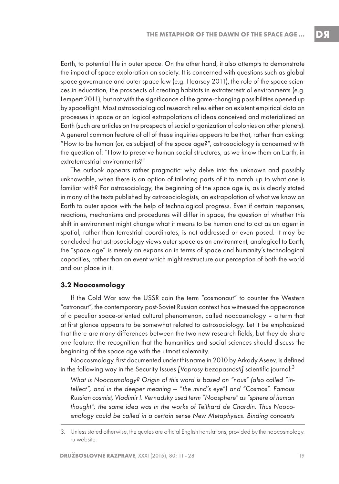DЯ

Earth, to potential life in outer space. On the other hand, it also attempts to demonstrate the impact of space exploration on society. It is concerned with questions such as global space governance and outer space law (e.g. Hearsey 2011), the role of the space sciences in education, the prospects of creating habitats in extraterrestrial environments (e.g. Lempert 2011), but not with the significance of the game-changing possibilities opened up by spaceflight. Most astrosociological research relies either on existent empirical data on processes in space or on logical extrapolations of ideas conceived and materialized on Earth (such are articles on the prospects of social organization of colonies on other planets). A general common feature of all of these inquiries appears to be that, rather than asking: "How to be human (or, as subject) of the space age?", astrosociology is concerned with the question of: "How to preserve human social structures, as we know them on Earth, in extraterrestrial environments?"

The outlook appears rather pragmatic: why delve into the unknown and possibly unknowable, when there is an option of tailoring parts of it to match up to what one is familiar with? For astrosociology, the beginning of the space age is, as is clearly stated in many of the texts published by astrosociologists, an extrapolation of what we know on Earth to outer space with the help of technological progress. Even if certain responses, reactions, mechanisms and procedures will differ in space, the question of whether this shift in environment might change what it means to be human and to act as an agent in spatial, rather than terrestrial coordinates, is not addressed or even posed. It may be concluded that astrosociology views outer space as an environment, analogical to Earth; the "space age" is merely an expansion in terms of space and humanity's technological capacities, rather than an event which might restructure our perception of both the world and our place in it.

#### **3.2 Noocosmology**

If the Cold War saw the USSR coin the term "cosmonaut" to counter the Western "astronaut", the contemporary post-Soviet Russian context has witnessed the appearance of a peculiar space-oriented cultural phenomenon, called noocosmology – a term that at first glance appears to be somewhat related to astrosociology. Let it be emphasized that there are many differences between the two new research fields, but they do share one feature: the recognition that the humanities and social sciences should discuss the beginning of the space age with the utmost solemnity.

Noocosmology, first documented under this name in 2010 by Arkady Aseev, is defined in the following way in the Security Issues [Voprosy bezopasnosti] scientific journal: $^3$ 

What is Noocosmology? Origin of this word is based on "nous" (also called "intellect", and in the deeper meaning — "the mind's eye") and "Cosmos". Famous Russian cosmist, Vladimir I. Vernadsky used term "Noosphere" as "sphere of human thought"; the same idea was in the works of Teilhard de Chardin. Thus Noocosmology could be called in a certain sense New Metaphysics. Binding concepts

<sup>3.</sup> Unless stated otherwise, the quotes are official English translations, provided by the noocosmology. ru website.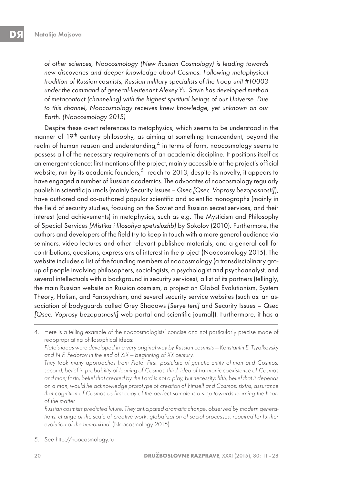of other sciences, Noocosmology (New Russian Cosmology) is leading towards new discoveries and deeper knowledge about Cosmos. Following metaphysical tradition of Russian cosmists, Russian military specialists of the troop unit #10003 under the command of general-lieutenant Alexey Yu. Savin has developed method of metacontact (channeling) with the highest spiritual beings of our Universe. Due to this channel, Noocosmology receives knew knowledge, yet unknown on our Earth. (Noocosmology 2015)

Despite these overt references to metaphysics, which seems to be understood in the manner of 19<sup>th</sup> century philosophy, as aiming at something transcendent, beyond the realm of human reason and understanding, $4$  in terms of form, noocosmology seems to possess all of the necessary requirements of an academic discipline. It positions itself as an emergent science: first mentions of the project, mainly accessible at the project's official website, run by its academic founders,<sup>5</sup> reach to 2013; despite its novelty, it appears to have engaged a number of Russian academics. The advocates of noocosmology regularly publish in scientific journals (mainly Security Issues – Qsec [Qsec. Voprosy bezopasnosti]), have authored and co-authored popular scientific and scientific monographs (mainly in the field of security studies, focusing on the Soviet and Russian secret services, and their interest (and achievements) in metaphysics, such as e.g. The Mysticism and Philosophy of Special Services [Mistika i filosofiya spetssluzhb] by Sokolov (2010). Furthermore, the authors and developers of the field try to keep in touch with a more general audience via seminars, video lectures and other relevant published materials, and a general call for contributions, questions, expressions of interest in the project (Noocosmology 2015). The website includes a list of the founding members of noocosmology (a transdisciplinary group of people involving philosophers, sociologists, a psychologist and psychoanalyst, and several intellectuals with a background in security services), a list of its partners (tellingly, the main Russian website on Russian cosmism, a project on Global Evolutionism, System Theory, Holism, and Panpsychism, and several security service websites (such as: an association of bodyguards called Grey Shadows [Serye teni] and Security Issues – Qsec [Qsec. Voprosy bezopasnosti] web portal and scientific journal)). Furthermore, it has a

4. Here is a telling example of the noocosmologists' concise and not particularly precise mode of reappropriating philosophical ideas:

 Plato's ideas were developed in a very original way by Russian cosmists — Konstantin E. Tsyolkovsky and N.F. Fedorov in the end of XIX — beginning of XX century.

 They took many approaches from Plato. First, postulate of genetic entity of man and Cosmos; second, belief in probability of leaning of Cosmos; third, idea of harmonic coexistence of Cosmos and man; forth, belief that created by the Lord is not a play, but necessity; fifth, belief that it depends on a man, would he acknowledge prototype of creation of himself and Cosmos; sixths, assurance that cognition of Cosmos as first copy of the perfect sample is a step towards learning the heart of the matter.

 Russian cosmists predicted future. They anticipated dramatic change, observed by modern generations: change of the scale of creative work, globalization of social processes, required for further evolution of the humankind. (Noocosmology 2015)

5. See http://noocosmology.ru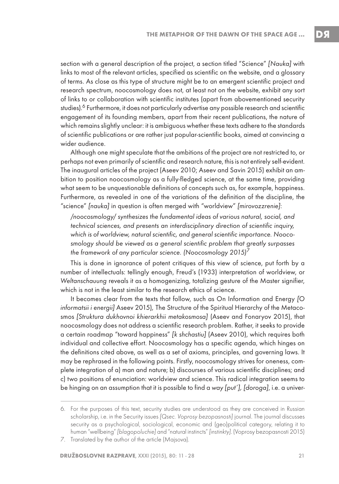section with a general description of the project, a section titled "Science" [Nauka] with links to most of the relevant articles, specified as scientific on the website, and a glossary of terms. As close as this type of structure might be to an emergent scientific project and research spectrum, noocosmology does not, at least not on the website, exhibit any sort of links to or collaboration with scientific institutes (apart from abovementioned security studies).<sup>6</sup> Furthermore, it does not particularly advertise any possible research and scientific engagement of its founding members, apart from their recent publications, the nature of which remains slightly unclear: it is ambiguous whether these texts adhere to the standards of scientific publications or are rather just popular-scientific books, aimed at convincing a wider audience.

Although one might speculate that the ambitions of the project are not restricted to, or perhaps not even primarily of scientific and research nature, this is not entirely self-evident. The inaugural articles of the project (Aseev 2010; Aseev and Savin 2015) exhibit an ambition to position noocosmology as a fully-fledged science, at the same time, providing what seem to be unquestionable definitions of concepts such as, for example, happiness. Furthermore, as revealed in one of the variations of the definition of the discipline, the "science" [nauka] in question is often merged with "worldview" [mirovozzrenie]:

/noocosmology/ synthesizes the fundamental ideas of various natural, social, and technical sciences, and presents an interdisciplinary direction of scientific inquiry, which is of worldview, natural scientific, and general scientific importance. Noocosmology should be viewed as a general scientific problem that greatly surpasses the framework of any particular science. (Noocosmology 2015)<sup>7</sup>

This is done in ignorance of potent critiques of this view of science, put forth by a number of intellectuals: tellingly enough, Freud's (1933) interpretation of worldview, or Weltanschauung reveals it as a homogenizing, totalizing gesture of the Master signifier, which is not in the least similar to the research ethics of science.

It becomes clear from the texts that follow, such as On Information and Energy [O informatsii i energii] Aseev 2015), The Structure of the Spiritual Hierarchy of the Metacosmos [Struktura dukhovnoi khierarkhii metakosmosa] (Aseev and Fonaryov 2015), that noocosmology does not address a scientific research problem. Rather, it seeks to provide a certain roadmap "toward happiness" [k shchastiu] (Aseev 2010), which requires both individual and collective effort. Noocosmology has a specific agenda, which hinges on the definitions cited above, as well as a set of axioms, principles, and governing laws. It may be rephrased in the following points. Firstly, noocosmology strives for oneness, complete integration of a) man and nature; b) discourses of various scientific disciplines; and c) two positions of enunciation: worldview and science. This radical integration seems to be hinging on an assumption that it is possible to find a way [put'], [doroga], i.e. a univer-

<sup>6.</sup> For the purposes of this text, security studies are understood as they are conceived in Russian scholarship, i.e. in the Security issues [Qsec. Voprosy bezopasnosti] journal. The journal discusses security as a psychological, sociological, economic and (geo)political category, relating it to human "wellbeing" [blagopoluchie] and "natural instincts" [instinkty]. (Voprosy bezopasnosti 2015)

<sup>7.</sup> Translated by the author of the article (Majsova).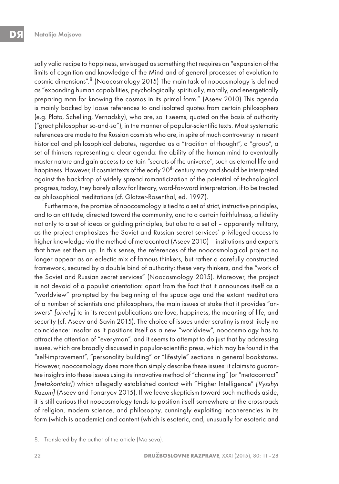sally valid recipe to happiness, envisaged as something that requires an "expansion of the limits of cognition and knowledge of the Mind and of general processes of evolution to cosmic dimensions".8 (Noocosmology 2015) The main task of noocosmology is defined as "expanding human capabilities, psychologically, spiritually, morally, and energetically preparing man for knowing the cosmos in its primal form." (Aseev 2010) This agenda is mainly backed by loose references to and isolated quotes from certain philosophers (e.g. Plato, Schelling, Vernadsky), who are, so it seems, quoted on the basis of authority ("great philosopher so-and-so"), in the manner of popular-scientific texts. Most systematic references are made to the Russian cosmists who are, in spite of much controversy in recent historical and philosophical debates, regarded as a "tradition of thought", a "group", a set of thinkers representing a clear agenda: the ability of the human mind to eventually master nature and gain access to certain "secrets of the universe", such as eternal life and happiness. However, if cosmist texts of the early 20<sup>th</sup> century may and should be interpreted against the backdrop of widely spread romanticization of the potential of technological progress, today, they barely allow for literary, word-for-word interpretation, if to be treated as philosophical meditations (cf. Glatzer-Rosenthal, ed. 1997).

Furthermore, the promise of noocosmology is tied to a set of strict, instructive principles, and to an attitude, directed toward the community, and to a certain faithfulness, a fidelity not only to a set of ideas or guiding principles, but also to a set of – apparently military, as the project emphasizes the Soviet and Russian secret services' privileged access to higher knowledge via the method of metacontact (Aseev 2010) – institutions and experts that have set them up. In this sense, the references of the noocosmological project no longer appear as an eclectic mix of famous thinkers, but rather a carefully constructed framework, secured by a double bind of authority: these very thinkers, and the "work of the Soviet and Russian secret services" (Noocosmology 2015). Moreover, the project is not devoid of a populist orientation: apart from the fact that it announces itself as a "worldview" prompted by the beginning of the space age and the extant meditations of a number of scientists and philosophers, the main issues at stake that it provides "answers" [otvety] to in its recent publications are love, happiness, the meaning of life, and security (cf. Aseev and Savin 2015). The choice of issues under scrutiny is most likely no coincidence: insofar as it positions itself as a new "worldview", noocosmology has to attract the attention of "everyman", and it seems to attempt to do just that by addressing issues, which are broadly discussed in popular-scientific press, which may be found in the "self-improvement", "personality building" or "lifestyle" sections in general bookstores. However, noocosmology does more than simply describe these issues: it claims to guarantee insights into these issues using its innovative method of "channeling" (or "metacontact" [metakontakt]) which allegedly established contact with "Higher Intelligence" [Vysshyi Razum] (Aseev and Fonaryov 2015). If we leave skepticism toward such methods aside, it is still curious that noocosmology tends to position itself somewhere at the crossroads of religion, modern science, and philosophy, cunningly exploiting incoherencies in its form (which is academic) and content (which is esoteric, and, unusually for esoteric and

<sup>8.</sup> Translated by the author of the article (Majsova).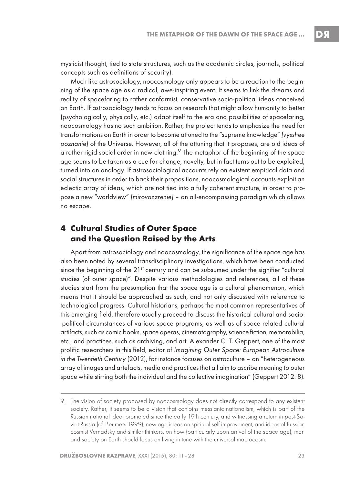mysticist thought, tied to state structures, such as the academic circles, journals, political concepts such as definitions of security).

Much like astrosociology, noocosmology only appears to be a reaction to the beginning of the space age as a radical, awe-inspiring event. It seems to link the dreams and reality of spacefaring to rather conformist, conservative socio-political ideas conceived on Earth. If astrosociology tends to focus on research that might allow humanity to better (psychologically, physically, etc.) adapt itself to the era and possibilities of spacefaring, noocosmology has no such ambition. Rather, the project tends to emphasize the need for transformations on Earth in order to become attuned to the "supreme knowledge" [vysshee poznanie] of the Universe. However, all of the attuning that it proposes, are old ideas of a rather rigid social order in new clothing. $9$  The metaphor of the beginning of the space age seems to be taken as a cue for change, novelty, but in fact turns out to be exploited, turned into an analogy. If astrosociological accounts rely on existent empirical data and social structures in order to back their propositions, noocosmological accounts exploit an eclectic array of ideas, which are not tied into a fully coherent structure, in order to propose a new "worldview" [mirovozzrenie] – an all-encompassing paradigm which allows no escape.

### **4 Cultural Studies of Outer Space and the Question Raised by the Arts**

Apart from astrosociology and noocosmology, the significance of the space age has also been noted by several transdisciplinary investigations, which have been conducted since the beginning of the 21<sup>st</sup> century and can be subsumed under the signifier "cultural studies (of outer space)". Despite various methodologies and references, all of these studies start from the presumption that the space age is a cultural phenomenon, which means that it should be approached as such, and not only discussed with reference to technological progress. Cultural historians, perhaps the most common representatives of this emerging field, therefore usually proceed to discuss the historical cultural and socio- -political circumstances of various space programs, as well as of space related cultural artifacts, such as comic books, space operas, cinematography, science fiction, memorabilia, etc., and practices, such as archiving, and art. Alexander C. T. Geppert, one of the most prolific researchers in this field, editor of Imagining Outer Space: European Astroculture in the Twentieth Century (2012), for instance focuses on astroculture – an "heterogeneous array of images and artefacts, media and practices that all aim to ascribe meaning to outer space while stirring both the individual and the collective imagination" (Geppert 2012: 8).

<sup>9.</sup> The vision of society proposed by noocosmology does not directly correspond to any existent society, Rather, it seems to be a vision that conjoins messianic nationalism, which is part of the Russian national idea, promoted since the early 19th century, and witnessing a return in post-Soviet Russia (cf. Beumers 1999), new age ideas on spiritual self-improvement, and ideas of Russian cosmist Vernadsky and similar thinkers, on how (particularly upon arrival of the space age), man and society on Earth should focus on living in tune with the universal macrocosm.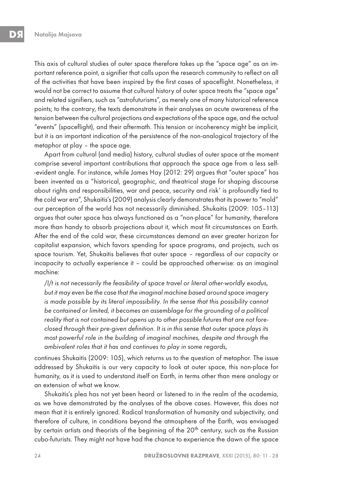This axis of cultural studies of outer space therefore takes up the "space age" as an important reference point, a signifier that calls upon the research community to reflect on all of the activities that have been inspired by the first cases of spaceflight. Nonetheless, it would not be correct to assume that cultural history of outer space treats the "space age" and related signifiers, such as "astrofuturisms", as merely one of many historical reference points; to the contrary, the texts demonstrate in their analyses an acute awareness of the tension between the cultural projections and expectations of the space age, and the actual "events" (spaceflight), and their aftermath. This tension or incoherency might be implicit, but it is an important indication of the persistence of the non-analogical trajectory of the metaphor at play – the space age.

Apart from cultural (and media) history, cultural studies of outer space at the moment comprise several important contributions that approach the space age from a less self- -evident angle. For instance, while James Hay (2012: 29) argues that "outer space" has been invented as a "historical, geographic, and theatrical stage for shaping discourse about rights and responsibilities, war and peace, security and risk' is profoundly tied to the cold war era", Shukaitis's (2009) analysis clearly demonstrates that its power to "mold" our perception of the world has not necessarily diminished. Shukaitis (2009: 105–113) argues that outer space has always functioned as a "non-place" for humanity, therefore more than handy to absorb projections about it, which most fit circumstances on Earth. After the end of the cold war, these circumstances demand an ever greater horizon for capitalist expansion, which favors spending for space programs, and projects, such as space tourism. Yet, Shukaitis believes that outer space – regardless of our capacity or incapacity to actually experience it – could be approached otherwise: as an imaginal machine:

/I/t is not necessarily the feasibility of space travel or literal other-worldly exodus, but it may even be the case that the imaginal machine based around space imagery is made possible by its literal impossibility. In the sense that this possibility cannot be contained or limited, it becomes an assemblage for the grounding of a political reality that is not contained but opens up to other possible futures that are not foreclosed through their pre-given definition. It is in this sense that outer space plays its most powerful role in the building of imaginal machines, despite and through the ambivalent roles that it has and continues to play in some regards,

continues Shukaitis (2009: 105), which returns us to the question of metaphor. The issue addressed by Shukaitis is our very capacity to look at outer space, this non-place for humanity, as it is used to understand itself on Earth, in terms other than mere analogy or an extension of what we know.

Shukaitis's plea has not yet been heard or listened to in the realm of the academia, as we have demonstrated by the analyses of the above cases. However, this does not mean that it is entirely ignored. Radical transformation of humanity and subjectivity, and therefore of culture, in conditions beyond the atmosphere of the Earth, was envisaged by certain artists and theorists of the beginning of the 20<sup>th</sup> century, such as the Russian cubo-futurists. They might not have had the chance to experience the dawn of the space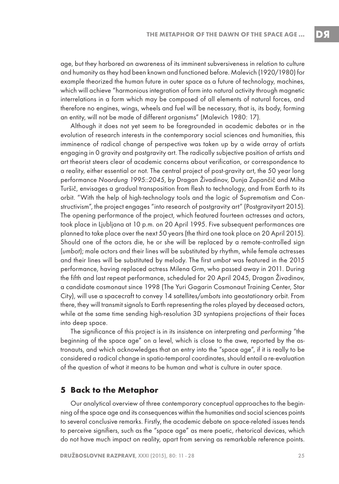age, but they harbored an awareness of its imminent subversiveness in relation to culture and humanity as they had been known and functioned before. Malevich (1920/1980) for example theorized the human future in outer space as a future of technology, machines, which will achieve "harmonious integration of form into natural activity through magnetic interrelations in a form which may be composed of all elements of natural forces, and therefore no engines, wings, wheels and fuel will be necessary, that is, its body, forming an entity, will not be made of different organisms" (Malevich 1980: 17).

Although it does not yet seem to be foregrounded in academic debates or in the evolution of research interests in the contemporary social sciences and humanities, this imminence of radical change of perspective was taken up by a wide array of artists engaging in 0 gravity and postgravity art. The radically subjective position of artists and art theorist steers clear of academic concerns about verification, or correspondence to a reality, either essential or not. The central project of post-gravity art, the 50 year long performance Noordung 1995::2045, by Dragan Živadinov, Dunja Zupančič and Miha Turšič, envisages a gradual transposition from flesh to technology, and from Earth to its orbit. "With the help of high-technology tools and the logic of Suprematism and Constructivism", the project engages "into research of postgravity art" (Postgravityart 2015). The opening performance of the project, which featured fourteen actresses and actors, took place in Ljubljana at 10 p.m. on 20 April 1995. Five subsequent performances are planned to take place over the next 50 years (the third one took place on 20 April 2015). Should one of the actors die, he or she will be replaced by a remote-controlled sign (umbot); male actors and their lines will be substituted by rhythm, while female actresses and their lines will be substituted by melody. The first umbot was featured in the 2015 performance, having replaced actress Milena Grm, who passed away in 2011. During the fifth and last repeat performance, scheduled for 20 April 2045, Dragan Živadinov, a candidate cosmonaut since 1998 (The Yuri Gagarin Cosmonaut Training Center, Star City), will use a spacecraft to convey 14 satellites/umbots into geostationary orbit. From there, they will transmit signals to Earth representing the roles played by deceased actors, while at the same time sending high-resolution 3D syntapiens projections of their faces into deep space.

The significance of this project is in its insistence on interpreting and performing "the beginning of the space age" on a level, which is close to the awe, reported by the astronauts, and which acknowledges that an entry into the "space age", if it is really to be considered a radical change in spatio-temporal coordinates, should entail a re-evaluation of the question of what it means to be human and what is culture in outer space.

#### **5 Back to the Metaphor**

Our analytical overview of three contemporary conceptual approaches to the beginning of the space age and its consequences within the humanities and social sciences points to several conclusive remarks. Firstly, the academic debate on space-related issues tends to perceive signifiers, such as the "space age" as mere poetic, rhetorical devices, which do not have much impact on reality, apart from serving as remarkable reference points.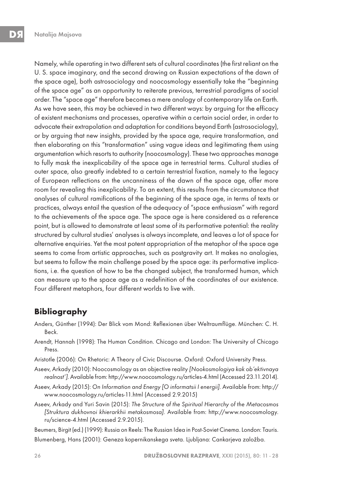Namely, while operating in two different sets of cultural coordinates (the first reliant on the U. S. space imaginary, and the second drawing on Russian expectations of the dawn of the space age), both astrosociology and noocosmology essentially take the "beginning of the space age" as an opportunity to reiterate previous, terrestrial paradigms of social order. The "space age" therefore becomes a mere analogy of contemporary life on Earth. As we have seen, this may be achieved in two different ways: by arguing for the efficacy of existent mechanisms and processes, operative within a certain social order, in order to advocate their extrapolation and adaptation for conditions beyond Earth (astrosociology), or by arguing that new insights, provided by the space age, require transformation, and then elaborating on this "transformation" using vague ideas and legitimating them using argumentation which resorts to authority (noocosmology). These two approaches manage to fully mask the inexplicability of the space age in terrestrial terms. Cultural studies of outer space, also greatly indebted to a certain terrestrial fixation, namely to the legacy of European reflections on the uncanniness of the dawn of the space age, offer more room for revealing this inexplicability. To an extent, this results from the circumstance that analyses of cultural ramifications of the beginning of the space age, in terms of texts or practices, always entail the question of the adequacy of "space enthusiasm" with regard to the achievements of the space age. The space age is here considered as a reference point, but is allowed to demonstrate at least some of its performative potential: the reality structured by cultural studies' analyses is always incomplete, and leaves a lot of space for alternative enquiries. Yet the most potent appropriation of the metaphor of the space age seems to come from artistic approaches, such as postgravity art. It makes no analogies, but seems to follow the main challenge posed by the space age: its performative implications, i.e. the question of how to be the changed subject, the transformed human, which can measure up to the space age as a redefinition of the coordinates of our existence. Four different metaphors, four different worlds to live with.

# **Bibliography**

- Anders, Günther (1994): Der Blick vom Mond: Reflexionen über Weltraumflüge. München: C. H. Beck.
- Arendt, Hannah (1998): The Human Condition. Chicago and London: The University of Chicago Press.
- Aristotle (2006): On Rhetoric: A Theory of Civic Discourse. Oxford: Oxford University Press.
- Aseev, Arkady (2010): Noocosmology as an objective reality [Nookosmologiya kak ob'ektivnaya realnost']. Available from: http://www.noocosmology.ru/articles-4.html (Accessed 23.11.2014).
- Aseev, Arkady (2015): On Information and Energy [O informatsii I energii]. Available from: http:// www.noocosmology.ru/articles-11.html (Accessed 2.9.2015)
- Aseev, Arkady and Yuri Savin (2015): The Structure of the Spiritual Hierarchy of the Metacosmos [Struktura dukhovnoi khierarkhii metakosmosa]. Available from: http://www.noocosmology. ru/science-4.html (Accessed 2.9.2015).

Beumers, Birgit (ed.) (1999): Russia on Reels: The Russian Idea in Post-Soviet Cinema. London: Tauris. Blumenberg, Hans (2001): Geneza kopernikanskega sveta. Ljubljana: Cankarjeva založba.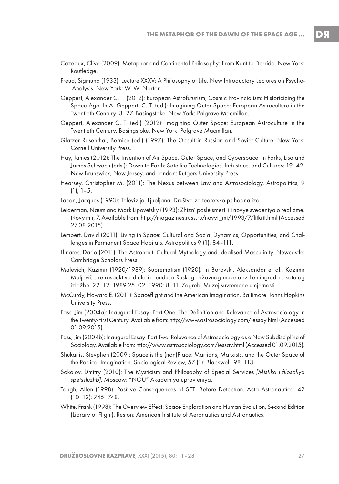- Cazeaux, Clive (2009): Metaphor and Continental Philosophy: From Kant to Derrida. New York: Routledge.
- Freud, Sigmund (1933): Lecture XXXV: A Philosophy of Life. New Introductory Lectures on Psycho- -Analysis. New York: W. W. Norton.
- Geppert, Alexander C. T. (2012): European Astrofuturism, Cosmic Provincialism: Historicizing the Space Age. In A. Geppert, C. T. (ed.): Imagining Outer Space: European Astroculture in the Twentieth Century: 3–27. Basingstoke, New York: Palgrave Macmillan.
- Geppert, Alexander C. T. (ed.) (2012): Imagining Outer Space: European Astroculture in the Twentieth Century. Basingstoke, New York: Palgrave Macmillan.
- Glatzer Rosenthal, Bernice (ed.) (1997): The Occult in Russian and Soviet Culture. New York: Cornell University Press.
- Hay, James (2012): The Invention of Air Space, Outer Space, and Cyberspace. In Parks, Lisa and James Schwoch (eds.): Down to Earth: Satellite Technologies, Industries, and Cultures: 19–42. New Brunswick, New Jersey, and London: Rutgers University Press.
- Hearsey, Christopher M. (2011): The Nexus between Law and Astrosociology. Astropolitics, 9  $(1), 1-5.$
- Lacan, Jacques (1993): Televizija. Ljubljana: Društvo za teoretsko psihoanalizo.
- Leiderman, Naum and Mark Lipovetsky (1993): Zhizn' posle smerti ili novye svedeniya o realizme. Novy mir, 7. Available from: http://magazines.russ.ru/novyi\_mi/1993/7/litkrit.html (Accessed 27.08.2015).
- Lempert, David (2011): Living in Space: Cultural and Social Dynamics, Opportunities, and Challenges in Permanent Space Habitats. Astropolitics 9 (1): 84–111.
- Llinares, Dario (2011): The Astronaut: Cultural Mythology and Idealised Masculinity. Newcastle: Cambridge Scholars Press.
- Malevich, Kazimir (1920/1989): Suprematism (1920). In Borovski, Aleksandar et al.: Kazimir Maljevič : retrospektiva djela iz fundusa Ruskog državnog muzeja iz Lenjingrada : katalog izložbe: 22. 12. 1989-25. 02. 1990: 8–11. Zagreb: Muzej suvremene umjetnosti.
- McCurdy, Howard E. (2011): Spaceflight and the American Imagination. Baltimore: Johns Hopkins University Press.
- Pass, Jim (2004a): Inaugural Essay: Part One: The Definition and Relevance of Astrosociology in the Twenty-First Century. Available from: http://www.astrosociology.com/iessay.html (Accessed 01.09.2015).
- Pass, Jim (2004b): Inaugural Essay: Part Two: Relevance of Astrosociology as a New Subdiscipline of Sociology. Available from: http://www.astrosociology.com/iessay.html (Accessed 01.09.2015).
- Shukaitis, Stevphen (2009): Space is the (non)Place: Martians, Marxists, and the Outer Space of the Radical Imagination. Sociological Review, 57 (1): Blackwell: 98–113.
- Sokolov, Dmitry (2010): The Mysticism and Philosophy of Special Services [Mistika i filosofiya spetssluzhb]. Moscow: "NOU" Akademiya upravleniya.
- Tough, Allen (1998): Positive Consequences of SETI Before Detection. Acta Astronautica, 42 (10–12): 745–748.
- White, Frank (1998): The Overview Effect: Space Exploration and Human Evolution, Second Edition (Library of Flight). Reston: American Institute of Aeronautics and Astronautics.